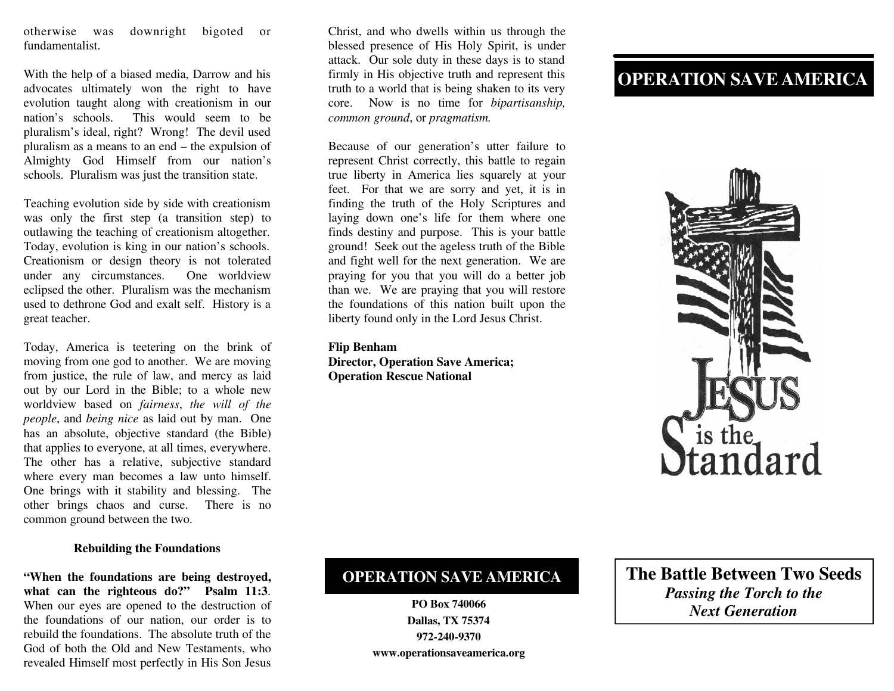otherwise was downright bigoted or fundamentalist.

With the help of a biased media, Darrow and his advocates ultimately won the right to have evolution taught along with creationism in our nation's schools. This would seem to be pluralism's ideal, right? Wrong! The devil used pluralism as a means to an end – the expulsion of Almighty God Himself from our nation's schools. Pluralism was just the transition state.

Teaching evolution side by side with creationism was only the first step (a transition step) to outlawing the teaching of creationism altogether. Today, evolution is king in our nation's schools. Creationism or design theory is not tolerated under any circumstances. One worldview eclipsed the other. Pluralism was the mechanism used to dethrone God and exalt self. History is a great teacher.

Today, America is teetering on the brink of moving from one god to another. We are moving from justice, the rule of law, and mercy as laid out by our Lord in the Bible; to a whole new worldview based on *fairness*, *the will of the people*, and *being nice* as laid out by man. One has an absolute, objective standard (the Bible) that applies to everyone, at all times, everywhere. The other has a relative, subjective standard where every man becomes a law unto himself. One brings with it stability and blessing. The other brings chaos and curse. There is no common ground between the two.

### **Rebuilding the Foundations**

**"When the foundations are being destroyed, what can the righteous do?" Psalm 11:3**. When our eyes are opened to the destruction of the foundations of our nation, our order is to rebuild the foundations. The absolute truth of the God of both the Old and New Testaments, who revealed Himself most perfectly in His Son Jesus

Christ, and who dwells within us through the blessed presence of His Holy Spirit, is under attack. Our sole duty in these days is to stand firmly in His objective truth and represent this truth to a world that is being shaken to its very core. Now is no time for *bipartisanship, common ground*, or *pragmatism.*

Because of our generation's utter failure to represent Christ correctly, this battle to regain true liberty in America lies squarely at your feet. For that we are sorry and yet, it is in finding the truth of the Holy Scriptures and laying down one's life for them where one finds destiny and purpose. This is your battle ground! Seek out the ageless truth of the Bible and fight well for the next generation. We are praying for you that you will do a better job than we. We are praying that you will restore the foundations of this nation built upon the liberty found only in the Lord Jesus Christ.

#### **Flip Benham**

**Director, Operation Save America; Operation Rescue National**

# **OPERATION SAVE AMERICA**



## **OPERATION SAVE AMERICA**

**PO Box 740066 Dallas, TX 75374 972-240-9370 www.operationsaveamerica.org** **The Battle Between Two Seeds** *Passing the Torch to the Next Generation*